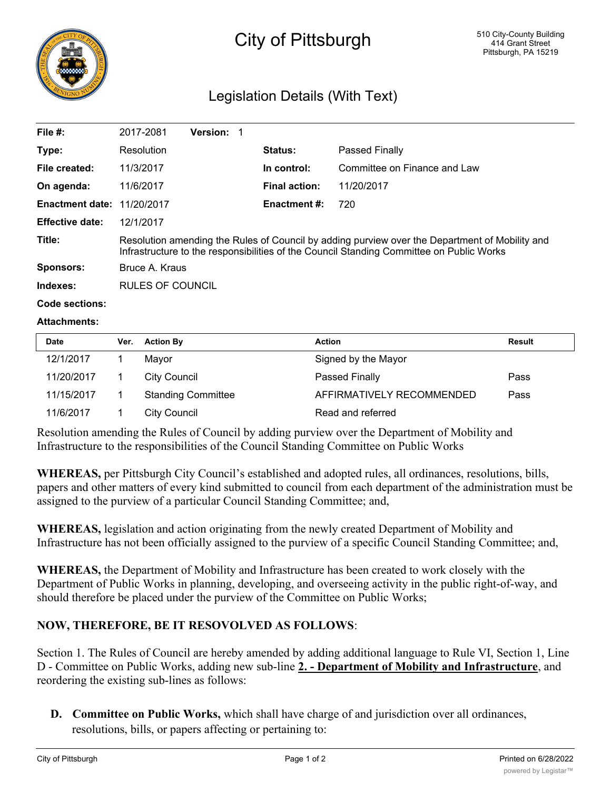

# City of Pittsburgh

# Legislation Details (With Text)

| File $#$ :                        | 2017-2081                                                                                                                                                                                  | <b>Version:</b> |                      |                              |  |  |
|-----------------------------------|--------------------------------------------------------------------------------------------------------------------------------------------------------------------------------------------|-----------------|----------------------|------------------------------|--|--|
| Type:                             | Resolution                                                                                                                                                                                 |                 | <b>Status:</b>       | Passed Finally               |  |  |
| File created:                     | 11/3/2017                                                                                                                                                                                  |                 | In control:          | Committee on Finance and Law |  |  |
| On agenda:                        | 11/6/2017                                                                                                                                                                                  |                 | <b>Final action:</b> | 11/20/2017                   |  |  |
| <b>Enactment date: 11/20/2017</b> |                                                                                                                                                                                            |                 | <b>Enactment #:</b>  | 720                          |  |  |
| <b>Effective date:</b>            | 12/1/2017                                                                                                                                                                                  |                 |                      |                              |  |  |
| Title:                            | Resolution amending the Rules of Council by adding purview over the Department of Mobility and<br>Infrastructure to the responsibilities of the Council Standing Committee on Public Works |                 |                      |                              |  |  |
| Sponsors:                         | Bruce A. Kraus                                                                                                                                                                             |                 |                      |                              |  |  |
| Indexes:                          | RULES OF COUNCIL                                                                                                                                                                           |                 |                      |                              |  |  |
|                                   |                                                                                                                                                                                            |                 |                      |                              |  |  |

#### **Code sections:**

#### **Attachments:**

| <b>Date</b> | Ver. | <b>Action By</b>          | <b>Action</b>             | <b>Result</b> |
|-------------|------|---------------------------|---------------------------|---------------|
| 12/1/2017   |      | Mavor                     | Signed by the Mayor       |               |
| 11/20/2017  |      | City Council              | Passed Finally            | Pass          |
| 11/15/2017  |      | <b>Standing Committee</b> | AFFIRMATIVELY RECOMMENDED | Pass          |
| 11/6/2017   |      | City Council              | Read and referred         |               |

Resolution amending the Rules of Council by adding purview over the Department of Mobility and Infrastructure to the responsibilities of the Council Standing Committee on Public Works

**WHEREAS,** per Pittsburgh City Council's established and adopted rules, all ordinances, resolutions, bills, papers and other matters of every kind submitted to council from each department of the administration must be assigned to the purview of a particular Council Standing Committee; and,

**WHEREAS,** legislation and action originating from the newly created Department of Mobility and Infrastructure has not been officially assigned to the purview of a specific Council Standing Committee; and,

**WHEREAS,** the Department of Mobility and Infrastructure has been created to work closely with the Department of Public Works in planning, developing, and overseeing activity in the public right-of-way, and should therefore be placed under the purview of the Committee on Public Works;

### **NOW, THEREFORE, BE IT RESOVOLVED AS FOLLOWS**:

Section 1. The Rules of Council are hereby amended by adding additional language to Rule VI, Section 1, Line D - Committee on Public Works, adding new sub-line **2. - Department of Mobility and Infrastructure**, and reordering the existing sub-lines as follows:

**D. Committee on Public Works,** which shall have charge of and jurisdiction over all ordinances, resolutions, bills, or papers affecting or pertaining to: